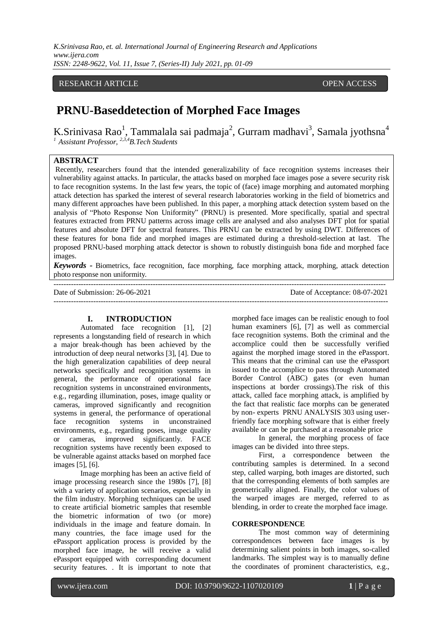*K.Srinivasa Rao, et. al. International Journal of Engineering Research and Applications www.ijera.com ISSN: 2248-9622, Vol. 11, Issue 7, (Series-II) July 2021, pp. 01-09*

# RESEARCH ARTICLE **CONSERVERS** OPEN ACCESS

# **PRNU-Baseddetection of Morphed Face Images**

K.Srinivasa Rao<sup>1</sup>, Tammalala sai padmaja<sup>2</sup>, Gurram madhavi<sup>3</sup>, Samala jyothsna<sup>4</sup> *<sup>1</sup>Assistant Professor, 2,3,4B.Tech Students*

# **ABSTRACT**

Recently, researchers found that the intended generalizability of face recognition systems increases their vulnerability against attacks. In particular, the attacks based on morphed face images pose a severe security risk to face recognition systems. In the last few years, the topic of (face) image morphing and automated morphing attack detection has sparked the interest of several research laboratories working in the field of biometrics and many different approaches have been published. In this paper, a morphing attack detection system based on the analysis of "Photo Response Non Uniformity" (PRNU) is presented. More specifically, spatial and spectral features extracted from PRNU patterns across image cells are analysed and also analyses DFT plot for spatial features and absolute DFT for spectral features. This PRNU can be extracted by using DWT. Differences of these features for bona fide and morphed images are estimated during a threshold-selection at last. The proposed PRNU-based morphing attack detector is shown to robustly distinguish bona fide and morphed face images.

*Keywords -* Biometrics, face recognition, face morphing, face morphing attack, morphing, attack detection photo response non uniformity*.* --------------------------------------------------------------------------------------------------------------------------------------

---------------------------------------------------------------------------------------------------------------------------------------

Date of Submission: 26-06-2021 Date of Acceptance: 08-07-2021

#### **I. INTRODUCTION**

Automated face recognition [1], [2] represents a longstanding field of research in which a major break-though has been achieved by the introduction of deep neural networks [3], [4]. Due to the high generalization capabilities of deep neural networks specifically and recognition systems in general, the performance of operational face recognition systems in unconstrained environments, e.g., regarding illumination, poses, image quality or cameras, improved significantly and recognition systems in general, the performance of operational face recognition systems in unconstrained environments, e.g., regarding poses, image quality or cameras, improved significantly. FACE recognition systems have recently been exposed to be vulnerable against attacks based on morphed face images [5], [6].

Image morphing has been an active field of image processing research since the 1980s [7], [8] with a variety of application scenarios, especially in the film industry. Morphing techniques can be used to create artificial biometric samples that resemble the biometric information of two (or more) individuals in the image and feature domain. In many countries, the face image used for the ePassport application process is provided by the morphed face image, he will receive a valid ePassport equipped with corresponding document security features. . It is important to note that morphed face images can be realistic enough to fool human examiners [6], [7] as well as commercial face recognition systems. Both the criminal and the accomplice could then be successfully verified against the morphed image stored in the ePassport. This means that the criminal can use the ePassport issued to the accomplice to pass through Automated Border Control (ABC) gates (or even human inspections at border crossings).The risk of this attack, called face morphing attack, is amplified by the fact that realistic face morphs can be generated by non- experts PRNU ANALYSIS 303 using userfriendly face morphing software that is either freely available or can be purchased at a reasonable price

In general, the morphing process of face images can be divided into three steps.

First, a correspondence between the contributing samples is determined. In a second step, called warping, both images are distorted, such that the corresponding elements of both samples are geometrically aligned. Finally, the color values of the warped images are merged, referred to as blending, in order to create the morphed face image.

#### **CORRESPONDENCE**

The most common way of determining correspondences between face images is by determining salient points in both images, so-called landmarks. The simplest way is to manually define the coordinates of prominent characteristics, e.g.,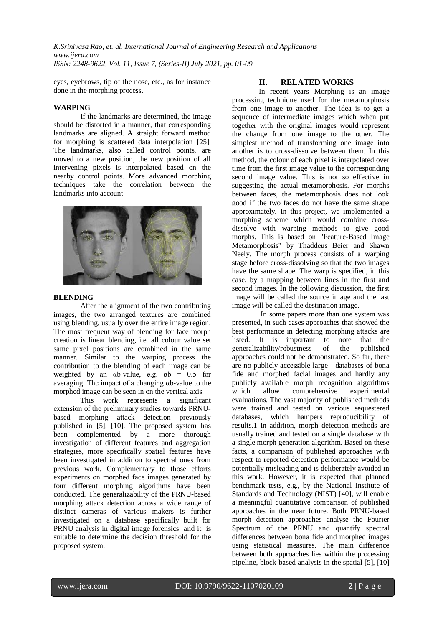eyes, eyebrows, tip of the nose, etc., as for instance done in the morphing process.

## **WARPING**

If the landmarks are determined, the image should be distorted in a manner, that corresponding landmarks are aligned. A straight forward method for morphing is scattered data interpolation [25]. The landmarks, also called control points, are moved to a new position, the new position of all intervening pixels is interpolated based on the nearby control points. More advanced morphing techniques take the correlation between the landmarks into account



#### **BLENDING**

After the alignment of the two contributing images, the two arranged textures are combined using blending, usually over the entire image region. The most frequent way of blending for face morph creation is linear blending, i.e. all colour value set same pixel positions are combined in the same manner. Similar to the warping process the contribution to the blending of each image can be weighted by an  $\alpha$ b-value, e.g.  $\alpha$ b = 0.5 for averaging. The impact of a changing αb-value to the morphed image can be seen in on the vertical axis.

This work represents a significant extension of the preliminary studies towards PRNUbased morphing attack detection previously published in [5], [10]. The proposed system has been complemented by a more thorough investigation of different features and aggregation strategies, more specifically spatial features have been investigated in addition to spectral ones from previous work. Complementary to those efforts experiments on morphed face images generated by four different morphing algorithms have been conducted. The generalizability of the PRNU-based morphing attack detection across a wide range of distinct cameras of various makers is further investigated on a database specifically built for PRNU analysis in digital image forensics and it is suitable to determine the decision threshold for the proposed system.

# **II. RELATED WORKS**

In recent years Morphing is an image processing technique used for the metamorphosis from one image to another. The idea is to get a sequence of intermediate images which when put together with the original images would represent the change from one image to the other. The simplest method of transforming one image into another is to cross-dissolve between them. In this method, the colour of each pixel is interpolated over time from the first image value to the corresponding second image value. This is not so effective in suggesting the actual metamorphosis. For morphs between faces, the metamorphosis does not look good if the two faces do not have the same shape approximately. In this project, we implemented a morphing scheme which would combine crossdissolve with warping methods to give good morphs. This is based on "Feature-Based Image Metamorphosis" by Thaddeus Beier and Shawn Neely. The morph process consists of a warping stage before cross-dissolving so that the two images have the same shape. The warp is specified, in this case, by a mapping between lines in the first and second images. In the following discussion, the first image will be called the source image and the last image will be called the destination image.

In some papers more than one system was presented, in such cases approaches that showed the best performance in detecting morphing attacks are listed. It is important to note that the generalizability/robustness of the published approaches could not be demonstrated. So far, there are no publicly accessible large databases of bona fide and morphed facial images and hardly any publicly available morph recognition algorithms which allow comprehensive experimental evaluations. The vast majority of published methods were trained and tested on various sequestered databases, which hampers reproducibility of results.1 In addition, morph detection methods are usually trained and tested on a single database with a single morph generation algorithm. Based on these facts, a comparison of published approaches with respect to reported detection performance would be potentially misleading and is deliberately avoided in this work. However, it is expected that planned benchmark tests, e.g., by the National Institute of Standards and Technology (NIST) [40], will enable a meaningful quantitative comparison of published approaches in the near future. Both PRNU-based morph detection approaches analyse the Fourier Spectrum of the PRNU and quantify spectral differences between bona fide and morphed images using statistical measures. The main difference between both approaches lies within the processing pipeline, block-based analysis in the spatial [5], [10]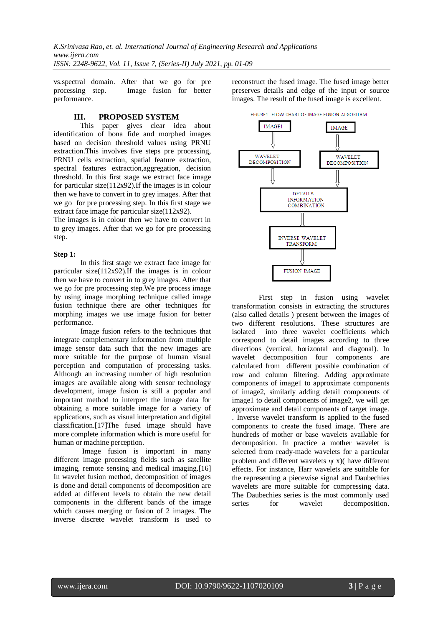vs.spectral domain. After that we go for pre processing step. Image fusion for better performance.

# **III. PROPOSED SYSTEM**

This paper gives clear idea about identification of bona fide and morphed images based on decision threshold values using PRNU extraction.This involves five steps pre processing, PRNU cells extraction, spatial feature extraction, spectral features extraction,aggregation, decision threshold. In this first stage we extract face image for particular size(112x92).If the images is in colour then we have to convert in to grey images. After that we go for pre processing step. In this first stage we extract face image for particular size(112x92).

The images is in colour then we have to convert in to grey images. After that we go for pre processing step.

#### **Step 1:**

In this first stage we extract face image for particular size(112x92).If the images is in colour then we have to convert in to grey images. After that we go for pre processing step.We pre process image by using image morphing technique called image fusion technique there are other techniques for morphing images we use image fusion for better performance.

Image fusion refers to the techniques that integrate complementary information from multiple image sensor data such that the new images are more suitable for the purpose of human visual perception and computation of processing tasks. Although an increasing number of high resolution images are available along with sensor technology development, image fusion is still a popular and important method to interpret the image data for obtaining a more suitable image for a variety of applications, such as visual interpretation and digital classification.[17]The fused image should have more complete information which is more useful for human or machine perception.

Image fusion is important in many different image processing fields such as satellite imaging, remote sensing and medical imaging.[16] In wavelet fusion method, decomposition of images is done and detail components of decomposition are added at different levels to obtain the new detail components in the different bands of the image which causes merging or fusion of 2 images. The inverse discrete wavelet transform is used to reconstruct the fused image. The fused image better preserves details and edge of the input or source images. The result of the fused image is excellent.



First step in fusion using wavelet transformation consists in extracting the structures (also called details ) present between the images of two different resolutions. These structures are isolated into three wavelet coefficients which correspond to detail images according to three directions (vertical, horizontal and diagonal). In wavelet decomposition four components are calculated from different possible combination of row and column filtering. Adding approximate components of image1 to approximate components of image2, similarly adding detail components of image1 to detail components of image2, we will get approximate and detail components of target image. . Inverse wavelet transform is applied to the fused components to create the fused image. There are hundreds of mother or base wavelets available for decomposition. In practice a mother wavelet is selected from ready-made wavelets for a particular problem and different wavelets  $\psi$  x)( have different effects. For instance, Harr wavelets are suitable for the representing a piecewise signal and Daubechies wavelets are more suitable for compressing data. The Daubechies series is the most commonly used series for wavelet decomposition.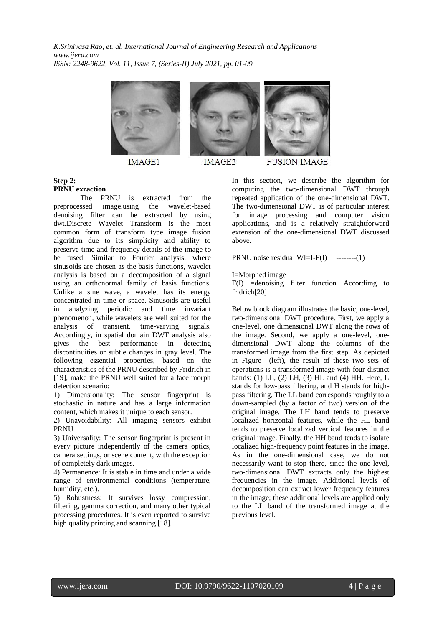

**IMAGE1** 



**IMAGE2** 



**FUSION IMAGE** 

## **Step 2: PRNU exraction**

The PRNU is extracted from the preprocessed image.using the wavelet-based denoising filter can be extracted by using dwt.Discrete Wavelet Transform is the most common form of transform type image fusion algorithm due to its simplicity and ability to preserve time and frequency details of the image to be fused. Similar to Fourier analysis, where sinusoids are chosen as the basis functions, wavelet analysis is based on a decomposition of a signal using an orthonormal family of basis functions. Unlike a sine wave, a wavelet has its energy concentrated in time or space. Sinusoids are useful in analyzing periodic and time invariant phenomenon, while wavelets are well suited for the analysis of transient, time-varying signals. Accordingly, in spatial domain DWT analysis also gives the best performance in detecting discontinuities or subtle changes in gray level. The following essential properties, based on the characteristics of the PRNU described by Fridrich in [19], make the PRNU well suited for a face morph detection scenario:

1) Dimensionality: The sensor fingerprint is stochastic in nature and has a large information content, which makes it unique to each sensor.

2) Unavoidability: All imaging sensors exhibit PRNU.

3) Universality: The sensor fingerprint is present in every picture independently of the camera optics, camera settings, or scene content, with the exception of completely dark images.

4) Permanence: It is stable in time and under a wide range of environmental conditions (temperature, humidity, etc.).

5) Robustness: It survives lossy compression, filtering, gamma correction, and many other typical processing procedures. It is even reported to survive high quality printing and scanning [18].

In this section, we describe the algorithm for computing the two-dimensional DWT through repeated application of the one-dimensional DWT. The two-dimensional DWT is of particular interest for image processing and computer vision applications, and is a relatively straightforward extension of the one-dimensional DWT discussed above.

PRNU noise residual  $WI=I-F(I)$  --------(1)

I=Morphed image

 $F(I)$  =denoising filter function According to fridrich[20]

Below block diagram illustrates the basic, one-level, two-dimensional DWT procedure. First, we apply a one-level, one dimensional DWT along the rows of the image. Second, we apply a one-level, onedimensional DWT along the columns of the transformed image from the first step. As depicted in Figure (left), the result of these two sets of operations is a transformed image with four distinct bands: (1) LL, (2) LH, (3) HL and (4) HH. Here, L stands for low-pass filtering, and H stands for highpass filtering. The LL band corresponds roughly to a down-sampled (by a factor of two) version of the original image. The LH band tends to preserve localized horizontal features, while the HL band tends to preserve localized vertical features in the original image. Finally, the HH band tends to isolate localized high-frequency point features in the image. As in the one-dimensional case, we do not necessarily want to stop there, since the one-level, two-dimensional DWT extracts only the highest frequencies in the image. Additional levels of decomposition can extract lower frequency features in the image; these additional levels are applied only to the LL band of the transformed image at the previous level.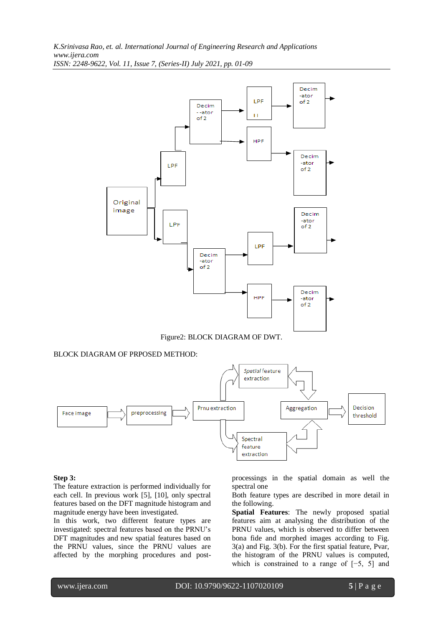

Figure2: BLOCK DIAGRAM OF DWT.

## BLOCK DIAGRAM OF PRPOSED METHOD:



## **Step 3:**

The feature extraction is performed individually for each cell. In previous work [5], [10], only spectral features based on the DFT magnitude histogram and magnitude energy have been investigated.

In this work, two different feature types are investigated: spectral features based on the PRNU's DFT magnitudes and new spatial features based on the PRNU values, since the PRNU values are affected by the morphing procedures and postprocessings in the spatial domain as well the spectral one

Both feature types are described in more detail in the following.

**Spatial Features**: The newly proposed spatial features aim at analysing the distribution of the PRNU values, which is observed to differ between bona fide and morphed images according to Fig. 3(a) and Fig. 3(b). For the first spatial feature, Pvar, the histogram of the PRNU values is computed, which is constrained to a range of [−5, 5] and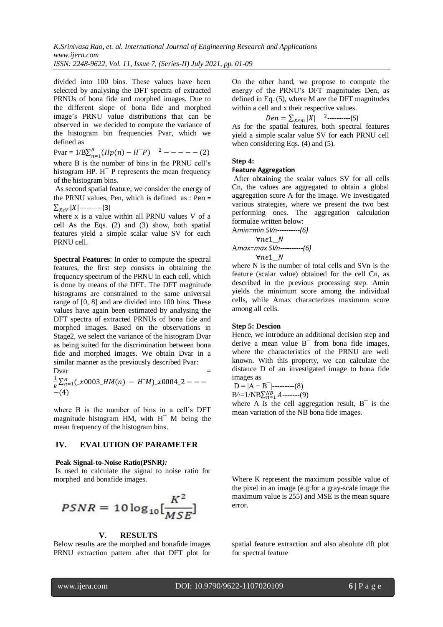divided into 100 bins. These values have been selected by analysing the DFT spectra of extracted PRNUs of bona fide and morphed images. Due to the different slope of bona fide and morphed image's PRNU value distributions that can be observed in we decided to compute the variance of the histogram bin frequencies Pvar, which we defined as

 $Pvar = 1/B \sum_{n=1}^{B} (Hp(n) - H^{-}P)$  $\binom{B}{n=1}(Hp(n)-H^{-}P)^{-2}$  –

where B is the number of bins in the PRNU cell's histogram HP. H<sup>-</sup> P represents the mean frequency of the histogram bins.

As second spatial feature, we consider the energy of the PRNU values, Pen, which is defined as : Pen =  $\sum_{X \in V} |X|$ ----------(3)

where x is a value within all PRNU values V of a cell As the Eqs. (2) and (3) show, both spatial features yield a simple scalar value SV for each PRNU cell.

**Spectral Features**: In order to compute the spectral features, the first step consists in obtaining the frequency spectrum of the PRNU in each cell, which is done by means of the DFT. The DFT magnitude histograms are constrained to the same universal range of [0, 8] and are divided into 100 bins. These values have again been estimated by analysing the DFT spectra of extracted PRNUs of bona fide and morphed images. Based on the observations in Stage2, we select the variance of the histogram Dvar as being suited for the discrimination between bona fide and morphed images. We obtain Dvar in a similar manner as the previously described Pvar:  $Dvar$  =

1  $\frac{1}{B}\sum_{n=1}^{B}(\mathcal{N}0003_{-}HM(n) - H^{\dagger}M)\mathcal{N}0004_{-}2 -(4)$ 

where B is the number of bins in a cell's DFT magnitude histogram HM, with H<sup>-</sup> M being the mean frequency of the histogram bins.

### **IV. EVALUTION OF PARAMETER**

#### **Peak Signal-to-Noise Ratio(PSNR***):*

Is used to calculate the signal to noise ratio for

$$
PSNR = 10\log_{10}\left[\frac{K^2}{MSE}\right]
$$

#### **V. RESULTS**

Below results are the morphed and bonafide images PRNU extraction pattern after that DFT plot for On the other hand, we propose to compute the energy of the PRNU's DFT magnitudes Den, as defined in Eq. (5), where M are the DFT magnitudes within a cell and x their respective values.

2 ----------(5)

As for the spatial features, both spectral features yield a simple scalar value SV for each PRNU cell when considering Eqs. (4) and (5).

**Step 4:**

#### **Feature Aggregation**

After obtaining the scalar values SV for all cells Cn, the values are aggregated to obtain a global aggregation score A for the image. We investigated various strategies, where we present the two best performing ones. The aggregation calculation formulae written below:

A*min=min SVn----------(6)* A*max=max SVn----------(6)*

where N is the number of total cells and SVn is the feature (scalar value) obtained for the cell Cn, as described in the previous processing step. Amin yields the minimum score among the individual cells, while Amax characterizes maximum score among all cells.

#### **Step 5: Descion**

Hence, we introduce an additional decision step and derive a mean value B¯ from bona fide images, where the characteristics of the PRNU are well known. With this property, we can calculate the distance D of an investigated image to bona fide images as

$$
D = |A - B^-| \dots (8)
$$

 $B^{\wedge}=1/NB\sum_{n=1}^{NB} A$ -------(9)

where A is the cell aggregation result,  $B<sup>-</sup>$  is the mean variation of the NB bona fide images.

morphed and bonafide images. Where K represent the maximum possible value of the pixel in an image (e.g:for a gray-scale image the maximum value is 255) and MSE is the mean square error.

> spatial feature extraction and also absolute dft plot for spectral feature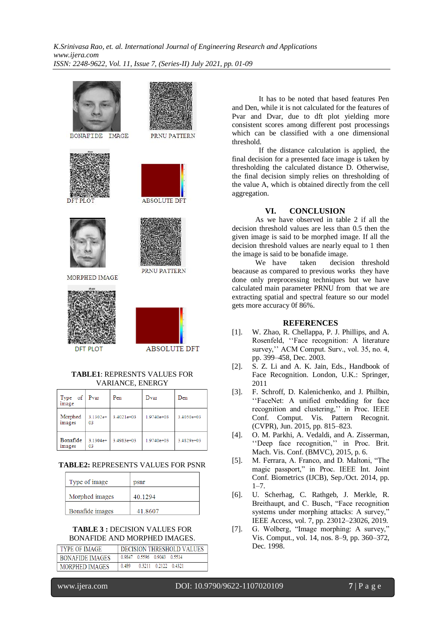

## **TABLE2:** REPRESENTS VALUES FOR PSNR

| Type of image   | psnr    |  |  |
|-----------------|---------|--|--|
| Morphed images  | 40.1294 |  |  |
| Bonafide images | 41.8607 |  |  |

#### **TABLE 3 :** DECISION VALUES FOR BONAFIDE AND MORPHED IMAGES.

| TYPE OF IMAGE   | DECISION THRESHOLD VALUES |                      |                      |  |  |
|-----------------|---------------------------|----------------------|----------------------|--|--|
| BONAFIDE IMAGES | 0.9847                    | 0.5596 0.9043 0.5514 |                      |  |  |
| MORPHED IMAGES  | 0.489                     |                      | 0.3211 0.2122 0.4321 |  |  |

It has to be noted that based features Pen and Den, while it is not calculated for the features of Pvar and Dvar, due to dft plot yielding more consistent scores among different post processings which can be classified with a one dimensional threshold.

If the distance calculation is applied, the final decision for a presented face image is taken by thresholding the calculated distance D. Otherwise, the final decision simply relies on thresholding of the value A, which is obtained directly from the cell aggregation.

# **VI. CONCLUSION**

As we have observed in table 2 if all the decision threshold values are less than 0.5 then the given image is said to be morphed image. If all the decision threshold values are nearly equal to 1 then the image is said to be bonafide image.

We have taken decision threshold beacause as compared to previous works they have done only preprocessing techniques but we have calculated main parameter PRNU from that we are extracting spatial and spectral feature so our model gets more accuracy 0f 86%.

## **REFERENCES**

- [1]. W. Zhao, R. Chellappa, P. J. Phillips, and A. Rosenfeld, ''Face recognition: A literature survey,'' ACM Comput. Surv., vol. 35, no. 4, pp. 399–458, Dec. 2003.
- [2]. S. Z. Li and A. K. Jain, Eds., Handbook of Face Recognition. London, U.K.: Springer, 2011
- [3]. F. Schroff, D. Kalenichenko, and J. Philbin, ''FaceNet: A unified embedding for face recognition and clustering,'' in Proc. IEEE Conf. Comput. Vis. Pattern Recognit. (CVPR), Jun. 2015, pp. 815–823.
- [4]. O. M. Parkhi, A. Vedaldi, and A. Zisserman, ''Deep face recognition,'' in Proc. Brit. Mach. Vis. Conf. (BMVC), 2015, p. 6.
- [5]. M. Ferrara, A. Franco, and D. Maltoni, "The magic passport," in Proc. IEEE Int. Joint Conf. Biometrics (IJCB), Sep./Oct. 2014, pp.  $1 - 7$ .
- [6]. U. Scherhag, C. Rathgeb, J. Merkle, R. Breithaupt, and C. Busch, "Face recognition systems under morphing attacks: A survey," IEEE Access, vol. 7, pp. 23012–23026, 2019.
- [7]. G. Wolberg, "Image morphing: A survey," Vis. Comput., vol. 14, nos. 8–9, pp. 360–372, Dec. 1998.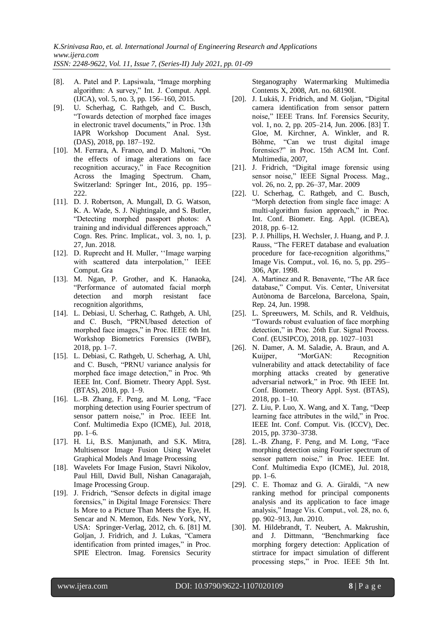*ISSN: 2248-9622, Vol. 11, Issue 7, (Series-II) July 2021, pp. 01-09*

- [8]. A. Patel and P. Lapsiwala, "Image morphing algorithm: A survey," Int. J. Comput. Appl. (IJCA), vol. 5, no. 3, pp. 156–160, 2015.
- [9]. U. Scherhag, C. Rathgeb, and C. Busch, "Towards detection of morphed face images in electronic travel documents," in Proc. 13th IAPR Workshop Document Anal. Syst. (DAS), 2018, pp. 187–192.
- [10]. M. Ferrara, A. Franco, and D. Maltoni, "On the effects of image alterations on face recognition accuracy," in Face Recognition Across the Imaging Spectrum. Cham, Switzerland: Springer Int., 2016, pp. 195– 222.
- [11]. D. J. Robertson, A. Mungall, D. G. Watson, K. A. Wade, S. J. Nightingale, and S. Butler, "Detecting morphed passport photos: A training and individual differences approach," Cogn. Res. Princ. Implicat., vol. 3, no. 1, p. 27, Jun. 2018.
- [12]. D. Ruprecht and H. Muller, ''Image warping with scattered data interpolation,'' IEEE Comput. Gra
- [13]. M. Ngan, P. Grother, and K. Hanaoka, "Performance of automated facial morph detection and morph resistant face recognition algorithms,
- [14]. L. Debiasi, U. Scherhag, C. Rathgeb, A. Uhl, and C. Busch, "PRNUbased detection of morphed face images," in Proc. IEEE 6th Int. Workshop Biometrics Forensics (IWBF), 2018, pp. 1–7.
- [15]. L. Debiasi, C. Rathgeb, U. Scherhag, A. Uhl, and C. Busch, "PRNU variance analysis for morphed face image detection," in Proc. 9th IEEE Int. Conf. Biometr. Theory Appl. Syst. (BTAS), 2018, pp. 1–9.
- [16]. L.-B. Zhang, F. Peng, and M. Long, "Face morphing detection using Fourier spectrum of sensor pattern noise," in Proc. IEEE Int. Conf. Multimedia Expo (ICME), Jul. 2018, pp. 1–6.
- [17]. H. Li, B.S. Manjunath, and S.K. Mitra, Multisensor Image Fusion Using Wavelet Graphical Models And Image Processing
- [18]. Wavelets For Image Fusion, Stavri Nikolov, Paul Hill, David Bull, Nishan Canagarajah, Image Processing Group.
- [19]. J. Fridrich, "Sensor defects in digital image forensics," in Digital Image Forensics: There Is More to a Picture Than Meets the Eye, H. Sencar and N. Memon, Eds. New York, NY, USA: Springer-Verlag, 2012, ch. 6. [81] M. Goljan, J. Fridrich, and J. Lukas, "Camera identification from printed images," in Proc. SPIE Electron. Imag. Forensics Security

Steganography Watermarking Multimedia Contents X, 2008, Art. no. 68190I.

- [20]. J. Lukáš, J. Fridrich, and M. Goljan, "Digital camera identification from sensor pattern noise," IEEE Trans. Inf. Forensics Security, vol. 1, no. 2, pp. 205–214, Jun. 2006. [83] T. Gloe, M. Kirchner, A. Winkler, and R. Böhme, "Can we trust digital image forensics?" in Proc. 15th ACM Int. Conf. Multimedia, 2007,
- [21]. J. Fridrich, "Digital image forensic using sensor noise," IEEE Signal Process. Mag., vol. 26, no. 2, pp. 26–37, Mar. 2009
- [22]. U. Scherhag, C. Rathgeb, and C. Busch, "Morph detection from single face image: A multi-algorithm fusion approach," in Proc. Int. Conf. Biometr. Eng. Appl. (ICBEA), 2018, pp. 6–12.
- [23]. P. J. Phillips, H. Wechsler, J. Huang, and P. J. Rauss, "The FERET database and evaluation procedure for face-recognition algorithms," Image Vis. Comput., vol. 16, no. 5, pp. 295– 306, Apr. 1998.
- [24]. A. Martinez and R. Benavente, "The AR face database," Comput. Vis. Center, Universitat Autònoma de Barcelona, Barcelona, Spain, Rep. 24, Jun. 1998.
- [25]. L. Spreeuwers, M. Schils, and R. Veldhuis, "Towards robust evaluation of face morphing detection," in Proc. 26th Eur. Signal Process. Conf. (EUSIPCO), 2018, pp. 1027–1031
- [26]. N. Damer, A. M. Saladie, A. Braun, and A. Kuijper, "MorGAN: Recognition vulnerability and attack detectability of face morphing attacks created by generative adversarial network," in Proc. 9th IEEE Int. Conf. Biometr. Theory Appl. Syst. (BTAS), 2018, pp. 1–10.
- [27]. Z. Liu, P. Luo, X. Wang, and X. Tang, "Deep learning face attributes in the wild," in Proc. IEEE Int. Conf. Comput. Vis. (ICCV), Dec. 2015, pp. 3730–3738.
- [28]. L.-B. Zhang, F. Peng, and M. Long, "Face morphing detection using Fourier spectrum of sensor pattern noise," in Proc. IEEE Int. Conf. Multimedia Expo (ICME), Jul. 2018, pp. 1–6.
- [29]. C. E. Thomaz and G. A. Giraldi, "A new ranking method for principal components analysis and its application to face image analysis," Image Vis. Comput., vol. 28, no. 6, pp. 902–913, Jun. 2010.
- [30]. M. Hildebrandt, T. Neubert, A. Makrushin, and J. Dittmann, "Benchmarking face morphing forgery detection: Application of stirtrace for impact simulation of different processing steps," in Proc. IEEE 5th Int.